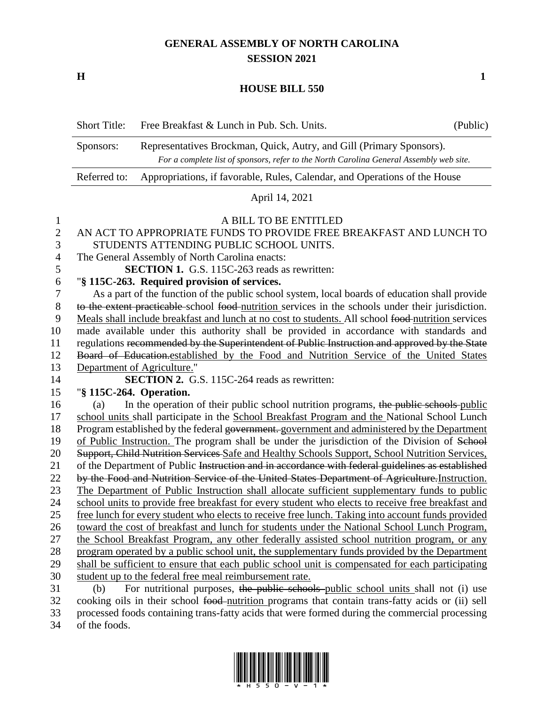# **GENERAL ASSEMBLY OF NORTH CAROLINA SESSION 2021**

**H 1**

### **HOUSE BILL 550**

|                | <b>Short Title:</b>                                                                                                                                                          | Free Breakfast & Lunch in Pub. Sch. Units.                                                         | (Public) |
|----------------|------------------------------------------------------------------------------------------------------------------------------------------------------------------------------|----------------------------------------------------------------------------------------------------|----------|
|                | Representatives Brockman, Quick, Autry, and Gill (Primary Sponsors).<br>Sponsors:<br>For a complete list of sponsors, refer to the North Carolina General Assembly web site. |                                                                                                    |          |
|                | Referred to:                                                                                                                                                                 | Appropriations, if favorable, Rules, Calendar, and Operations of the House                         |          |
|                |                                                                                                                                                                              | April 14, 2021                                                                                     |          |
| $\mathbf{1}$   |                                                                                                                                                                              | A BILL TO BE ENTITLED                                                                              |          |
| $\overline{2}$ |                                                                                                                                                                              | AN ACT TO APPROPRIATE FUNDS TO PROVIDE FREE BREAKFAST AND LUNCH TO                                 |          |
| 3              |                                                                                                                                                                              | STUDENTS ATTENDING PUBLIC SCHOOL UNITS.                                                            |          |
| 4              |                                                                                                                                                                              | The General Assembly of North Carolina enacts:                                                     |          |
| 5              |                                                                                                                                                                              | <b>SECTION 1.</b> G.S. 115C-263 reads as rewritten:                                                |          |
| 6              |                                                                                                                                                                              | "§ 115C-263. Required provision of services.                                                       |          |
| 7              |                                                                                                                                                                              | As a part of the function of the public school system, local boards of education shall provide     |          |
| 8              |                                                                                                                                                                              | to the extent practicable school food-nutrition services in the schools under their jurisdiction.  |          |
| 9              |                                                                                                                                                                              | Meals shall include breakfast and lunch at no cost to students. All school food-nutrition services |          |

 made available under this authority shall be provided in accordance with standards and regulations recommended by the Superintendent of Public Instruction and approved by the State Board of Education.established by the Food and Nutrition Service of the United States

Department of Agriculture."

**SECTION 2.** G.S. 115C-264 reads as rewritten:

## "**§ 115C-264. Operation.**

16 (a) In the operation of their public school nutrition programs, the public schools public school units shall participate in the School Breakfast Program and the National School Lunch 18 Program established by the federal government. government and administered by the Department of Public Instruction. The program shall be under the jurisdiction of the Division of School 20 Support, Child Nutrition Services Safe and Healthy Schools Support, School Nutrition Services, 21 of the Department of Public Instruction and in accordance with federal guidelines as established 22 by the Food and Nutrition Service of the United States Department of Agriculture. Instruction. The Department of Public Instruction shall allocate sufficient supplementary funds to public school units to provide free breakfast for every student who elects to receive free breakfast and free lunch for every student who elects to receive free lunch. Taking into account funds provided toward the cost of breakfast and lunch for students under the National School Lunch Program, the School Breakfast Program, any other federally assisted school nutrition program, or any program operated by a public school unit, the supplementary funds provided by the Department shall be sufficient to ensure that each public school unit is compensated for each participating student up to the federal free meal reimbursement rate.

 (b) For nutritional purposes, the public schools public school units shall not (i) use 32 cooking oils in their school food nutrition programs that contain trans-fatty acids or (ii) sell processed foods containing trans-fatty acids that were formed during the commercial processing of the foods.

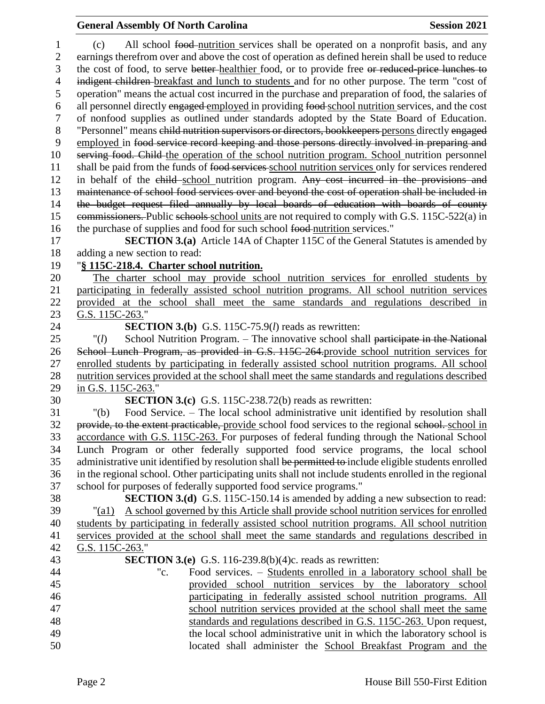## **General Assembly Of North Carolina Session 2021**

 (c) All school food nutrition services shall be operated on a nonprofit basis, and any earnings therefrom over and above the cost of operation as defined herein shall be used to reduce 3 the cost of food, to serve better-healthier food, or to provide free or reduced-price lunches to 4 indigent children-breakfast and lunch to students and for no other purpose. The term "cost of operation" means the actual cost incurred in the purchase and preparation of food, the salaries of 6 all personnel directly engaged employed in providing food-school nutrition services, and the cost of nonfood supplies as outlined under standards adopted by the State Board of Education. "Personnel" means child nutrition supervisors or directors, bookkeepers persons directly engaged employed in food service record keeping and those persons directly involved in preparing and serving food. Child the operation of the school nutrition program. School nutrition personnel 11 shall be paid from the funds of food services school nutrition services only for services rendered 12 in behalf of the child school nutrition program. Any cost incurred in the provisions and maintenance of school food services over and beyond the cost of operation shall be included in the budget request filed annually by local boards of education with boards of county 15 commissioners. Public schools school units are not required to comply with G.S. 115C-522(a) in the purchase of supplies and food for such school food nutrition services." **SECTION 3.(a)** Article 14A of Chapter 115C of the General Statutes is amended by adding a new section to read: "**§ 115C-218.4. Charter school nutrition.** The charter school may provide school nutrition services for enrolled students by participating in federally assisted school nutrition programs. All school nutrition services provided at the school shall meet the same standards and regulations described in 23 G.S. 115C-263." **SECTION 3.(b)** G.S. 115C-75.9(*l*) reads as rewritten: "(*l*) School Nutrition Program. – The innovative school shall participate in the National School Lunch Program, as provided in G.S. 115C-264.provide school nutrition services for enrolled students by participating in federally assisted school nutrition programs. All school nutrition services provided at the school shall meet the same standards and regulations described in G.S. 115C-263." **SECTION 3.(c)** G.S. 115C-238.72(b) reads as rewritten: "(b) Food Service. – The local school administrative unit identified by resolution shall 32 provide, to the extent practicable, provide school food services to the regional school. school in accordance with G.S. 115C-263. For purposes of federal funding through the National School Lunch Program or other federally supported food service programs, the local school 35 administrative unit identified by resolution shall be permitted to include eligible students enrolled in the regional school. Other participating units shall not include students enrolled in the regional school for purposes of federally supported food service programs." **SECTION 3.(d)** G.S. 115C-150.14 is amended by adding a new subsection to read: "(a1) A school governed by this Article shall provide school nutrition services for enrolled students by participating in federally assisted school nutrition programs. All school nutrition services provided at the school shall meet the same standards and regulations described in G.S. 115C-263." **SECTION 3.(e)** G.S. 116-239.8(b)(4)c. reads as rewritten: "c. Food services. – Students enrolled in a laboratory school shall be provided school nutrition services by the laboratory school participating in federally assisted school nutrition programs. All school nutrition services provided at the school shall meet the same standards and regulations described in G.S. 115C-263. Upon request, the local school administrative unit in which the laboratory school is located shall administer the School Breakfast Program and the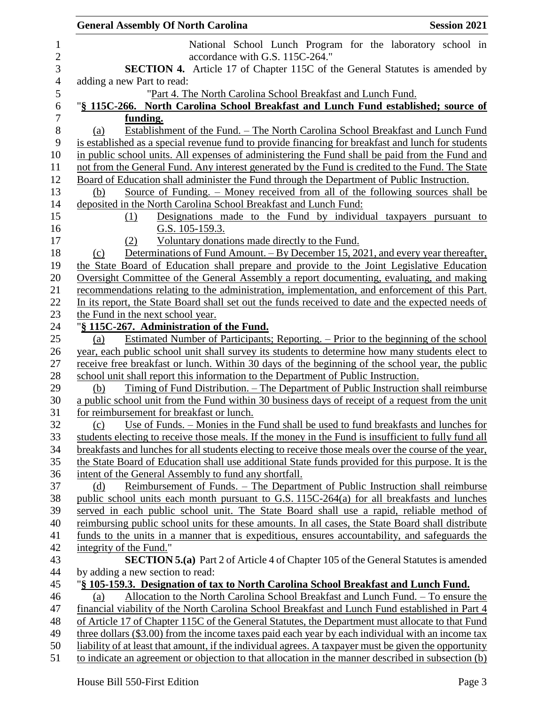|                | <b>General Assembly Of North Carolina</b><br><b>Session 2021</b>                                                                                                                      |  |  |
|----------------|---------------------------------------------------------------------------------------------------------------------------------------------------------------------------------------|--|--|
| $\mathbf{1}$   | National School Lunch Program for the laboratory school in                                                                                                                            |  |  |
| $\overline{c}$ | accordance with G.S. 115C-264."                                                                                                                                                       |  |  |
| $\mathfrak{Z}$ | <b>SECTION 4.</b> Article 17 of Chapter 115C of the General Statutes is amended by                                                                                                    |  |  |
| $\overline{4}$ | adding a new Part to read:                                                                                                                                                            |  |  |
| 5              | "Part 4. The North Carolina School Breakfast and Lunch Fund.                                                                                                                          |  |  |
| 6              | "§ 115C-266. North Carolina School Breakfast and Lunch Fund established; source of                                                                                                    |  |  |
| $\overline{7}$ | funding.                                                                                                                                                                              |  |  |
| $8\,$          | Establishment of the Fund. - The North Carolina School Breakfast and Lunch Fund<br>(a)                                                                                                |  |  |
| 9              | is established as a special revenue fund to provide financing for breakfast and lunch for students                                                                                    |  |  |
| 10             | in public school units. All expenses of administering the Fund shall be paid from the Fund and                                                                                        |  |  |
| 11             | not from the General Fund. Any interest generated by the Fund is credited to the Fund. The State                                                                                      |  |  |
| 12             | Board of Education shall administer the Fund through the Department of Public Instruction.                                                                                            |  |  |
| 13             | <u>Source of Funding. – Money received from all of the following sources shall be</u><br>(b)                                                                                          |  |  |
| 14             | deposited in the North Carolina School Breakfast and Lunch Fund:                                                                                                                      |  |  |
| 15             | Designations made to the Fund by individual taxpayers pursuant to<br>(1)                                                                                                              |  |  |
| 16             | G.S. 105-159.3.                                                                                                                                                                       |  |  |
| 17             | Voluntary donations made directly to the Fund.<br>(2)                                                                                                                                 |  |  |
| 18             | Determinations of Fund Amount. – By December 15, 2021, and every year thereafter,<br>(c)                                                                                              |  |  |
| 19             | the State Board of Education shall prepare and provide to the Joint Legislative Education                                                                                             |  |  |
| 20             | Oversight Committee of the General Assembly a report documenting, evaluating, and making                                                                                              |  |  |
| 21             | recommendations relating to the administration, implementation, and enforcement of this Part.                                                                                         |  |  |
| 22             | In its report, the State Board shall set out the funds received to date and the expected needs of                                                                                     |  |  |
| 23             | the Fund in the next school year.                                                                                                                                                     |  |  |
| 24             | "§ 115C-267. Administration of the Fund.                                                                                                                                              |  |  |
| 25             | Estimated Number of Participants; Reporting. – Prior to the beginning of the school<br>(a)                                                                                            |  |  |
| 26<br>27       | year, each public school unit shall survey its students to determine how many students elect to                                                                                       |  |  |
| 28             | receive free breakfast or lunch. Within 30 days of the beginning of the school year, the public<br>school unit shall report this information to the Department of Public Instruction. |  |  |
| 29             | <u>Timing of Fund Distribution. – The Department of Public Instruction shall reimburse</u><br>(b)                                                                                     |  |  |
| 30             | a public school unit from the Fund within 30 business days of receipt of a request from the unit                                                                                      |  |  |
| 31             | for reimbursement for breakfast or lunch.                                                                                                                                             |  |  |
| 32             | Use of Funds. – Monies in the Fund shall be used to fund breakfasts and lunches for<br>(c)                                                                                            |  |  |
| 33             | students electing to receive those meals. If the money in the Fund is insufficient to fully fund all                                                                                  |  |  |
| 34             | breakfasts and lunches for all students electing to receive those meals over the course of the year,                                                                                  |  |  |
| 35             | the State Board of Education shall use additional State funds provided for this purpose. It is the                                                                                    |  |  |
| 36             | intent of the General Assembly to fund any shortfall.                                                                                                                                 |  |  |
| 37             | Reimbursement of Funds. – The Department of Public Instruction shall reimburse<br>(d)                                                                                                 |  |  |
| 38             | public school units each month pursuant to G.S. 115C-264(a) for all breakfasts and lunches                                                                                            |  |  |
| 39             | served in each public school unit. The State Board shall use a rapid, reliable method of                                                                                              |  |  |
| 40             | reimbursing public school units for these amounts. In all cases, the State Board shall distribute                                                                                     |  |  |
| 41             | funds to the units in a manner that is expeditious, ensures accountability, and safeguards the                                                                                        |  |  |
| 42             | integrity of the Fund."                                                                                                                                                               |  |  |
| 43             | <b>SECTION 5.(a)</b> Part 2 of Article 4 of Chapter 105 of the General Statutes is amended                                                                                            |  |  |
| 44             | by adding a new section to read:                                                                                                                                                      |  |  |
| 45             | "§ 105-159.3. Designation of tax to North Carolina School Breakfast and Lunch Fund.                                                                                                   |  |  |
| 46             | Allocation to the North Carolina School Breakfast and Lunch Fund. - To ensure the<br>(a)                                                                                              |  |  |
| 47             | financial viability of the North Carolina School Breakfast and Lunch Fund established in Part 4                                                                                       |  |  |
| 48             | of Article 17 of Chapter 115C of the General Statutes, the Department must allocate to that Fund                                                                                      |  |  |
| 49             | three dollars (\$3.00) from the income taxes paid each year by each individual with an income tax                                                                                     |  |  |
| 50             | liability of at least that amount, if the individual agrees. A taxpayer must be given the opportunity                                                                                 |  |  |
| 51             | to indicate an agreement or objection to that allocation in the manner described in subsection (b)                                                                                    |  |  |